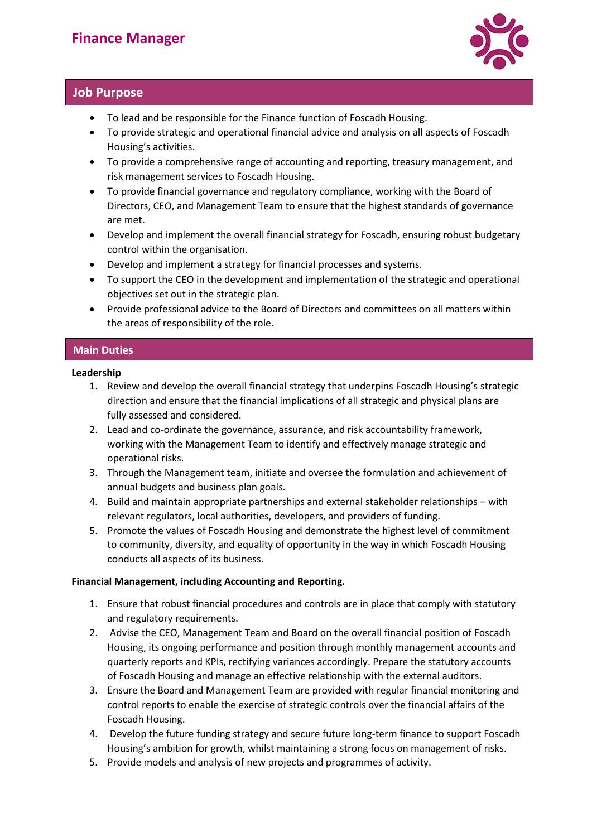

# **Job Purpose**

- To lead and be responsible for the Finance function of Foscadh Housing.
- To provide strategic and operational financial advice and analysis on all aspects of Foscadh Housing's activities.
- To provide a comprehensive range of accounting and reporting, treasury management, and risk management services to Foscadh Housing.
- To provide financial governance and regulatory compliance, working with the Board of Directors, CEO, and Management Team to ensure that the highest standards of governance are met.
- Develop and implement the overall financial strategy for Foscadh, ensuring robust budgetary control within the organisation.
- Develop and implement a strategy for financial processes and systems.
- To support the CEO in the development and implementation of the strategic and operational objectives set out in the strategic plan.
- Provide professional advice to the Board of Directors and committees on all matters within the areas of responsibility of the role.

# **Main Duties**

### **Leadership**

- 1. Review and develop the overall financial strategy that underpins Foscadh Housing's strategic direction and ensure that the financial implications of all strategic and physical plans are fully assessed and considered.
- 2. Lead and co-ordinate the governance, assurance, and risk accountability framework, working with the Management Team to identify and effectively manage strategic and operational risks.
- 3. Through the Management team, initiate and oversee the formulation and achievement of annual budgets and business plan goals.
- 4. Build and maintain appropriate partnerships and external stakeholder relationships with relevant regulators, local authorities, developers, and providers of funding.
- 5. Promote the values of Foscadh Housing and demonstrate the highest level of commitment to community, diversity, and equality of opportunity in the way in which Foscadh Housing conducts all aspects of its business.

### **Financial Management, including Accounting and Reporting.**

- 1. Ensure that robust financial procedures and controls are in place that comply with statutory and regulatory requirements.
- 2. Advise the CEO, Management Team and Board on the overall financial position of Foscadh Housing, its ongoing performance and position through monthly management accounts and quarterly reports and KPIs, rectifying variances accordingly. Prepare the statutory accounts of Foscadh Housing and manage an effective relationship with the external auditors.
- 3. Ensure the Board and Management Team are provided with regular financial monitoring and control reports to enable the exercise of strategic controls over the financial affairs of the Foscadh Housing.
- 4. Develop the future funding strategy and secure future long-term finance to support Foscadh Housing's ambition for growth, whilst maintaining a strong focus on management of risks.
- 5. Provide models and analysis of new projects and programmes of activity.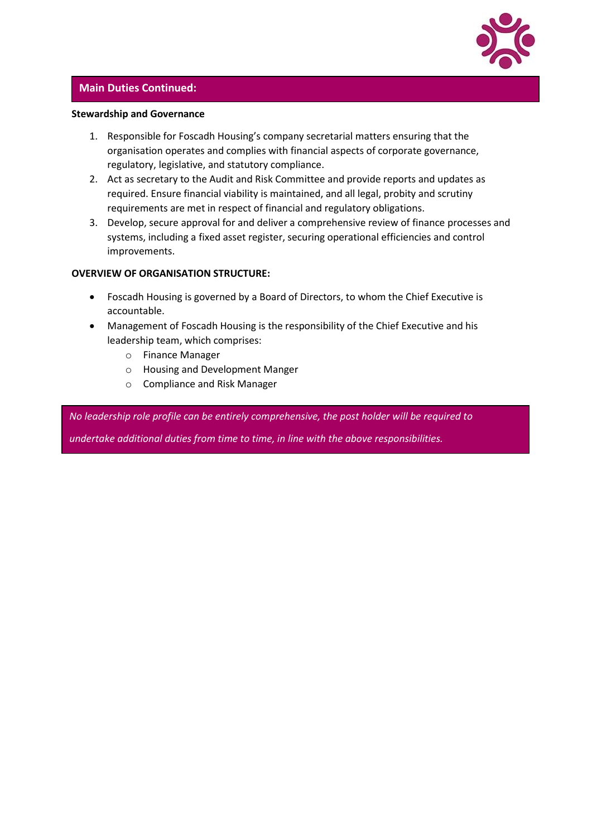

### **Main Duties Continued:**

#### **Stewardship and Governance**

- 1. Responsible for Foscadh Housing's company secretarial matters ensuring that the organisation operates and complies with financial aspects of corporate governance, regulatory, legislative, and statutory compliance.
- 2. Act as secretary to the Audit and Risk Committee and provide reports and updates as required. Ensure financial viability is maintained, and all legal, probity and scrutiny requirements are met in respect of financial and regulatory obligations.
- 3. Develop, secure approval for and deliver a comprehensive review of finance processes and systems, including a fixed asset register, securing operational efficiencies and control improvements.

#### **OVERVIEW OF ORGANISATION STRUCTURE:**

- Foscadh Housing is governed by a Board of Directors, to whom the Chief Executive is accountable.
- Management of Foscadh Housing is the responsibility of the Chief Executive and his leadership team, which comprises:
	- o Finance Manager
	- o Housing and Development Manger
	- o Compliance and Risk Manager

*No leadership role profile can be entirely comprehensive, the post holder will be required to* 

*undertake additional duties from time to time, in line with the above responsibilities.*